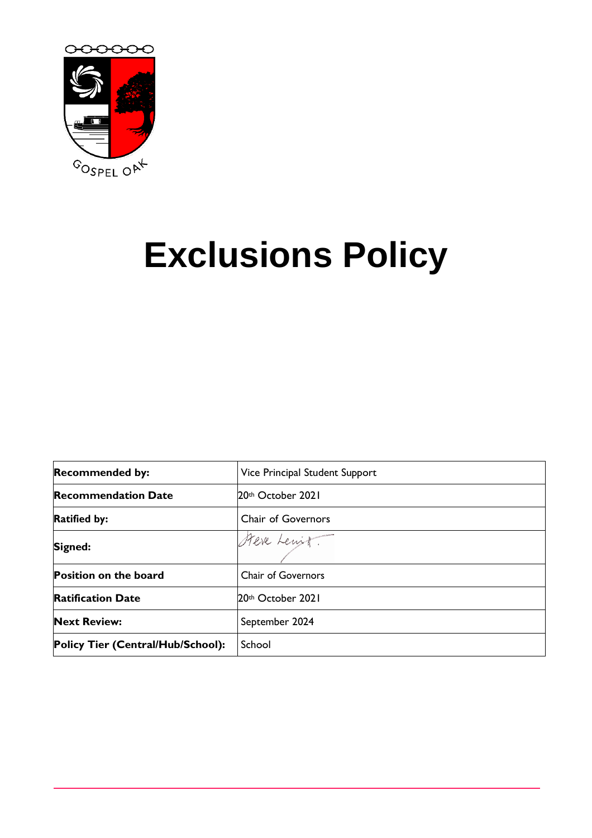

# **Exclusions Policy**

| <b>Recommended by:</b>            | Vice Principal Student Support |
|-----------------------------------|--------------------------------|
| <b>Recommendation Date</b>        | 20th October 2021              |
| <b>Ratified by:</b>               | <b>Chair of Governors</b>      |
| Signed:                           | Steve Lewit.                   |
| <b>Position on the board</b>      | <b>Chair of Governors</b>      |
| <b>Ratification Date</b>          | 20th October 2021              |
| <b>Next Review:</b>               | September 2024                 |
| Policy Tier (Central/Hub/School): | School                         |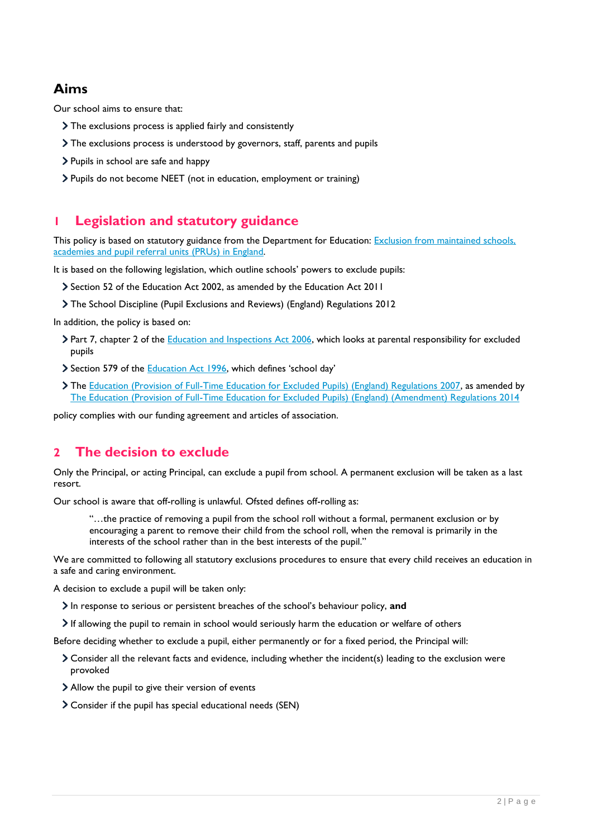# **Aims**

Our school aims to ensure that:

- The exclusions process is applied fairly and consistently
- The exclusions process is understood by governors, staff, parents and pupils
- > Pupils in school are safe and happy
- > Pupils do not become NEET (not in education, employment or training)

## **1 Legislation and statutory guidance**

This policy is based on statutory guidance from the Department for Education: Exclusion from maintained schools, [academies and pupil referral units \(PRUs\) in England.](https://www.gov.uk/government/publications/school-exclusion) 

It is based on the following legislation, which outline schools' powers to exclude pupils:

- Section 52 of the [Education Act 2002,](http://www.legislation.gov.uk/ukpga/2002/32/section/52) as amended by the [Education Act 2011](http://www.legislation.gov.uk/ukpga/2011/21/contents/enacted)
- [The School Discipline \(Pupil Exclusions and Reviews\) \(England\) Regulations 2012](http://www.legislation.gov.uk/uksi/2012/1033/made)

In addition, the policy is based on:

- > Part 7, chapter 2 of the [Education and Inspections Act 2006,](http://www.legislation.gov.uk/ukpga/2006/40/part/7/chapter/2) which looks at parental responsibility for excluded pupils
- Section 579 of the [Education Act 1996](http://www.legislation.gov.uk/ukpga/1996/56/section/579), which defines 'school day'
- The [Education \(Provision of Full-Time Education for Excluded Pupils\) \(England\) Regulations 2007,](http://www.legislation.gov.uk/uksi/2007/1870/contents/made) as amended by [The Education \(Provision of Full-Time Education for Excluded Pupils\) \(England\) \(Amendment\) Regulations 2014](http://www.legislation.gov.uk/uksi/2014/3216/contents/made)

policy complies with our funding agreement and articles of association.

# **2 The decision to exclude**

Only the Principal, or acting Principal, can exclude a pupil from school. A permanent exclusion will be taken as a last resort.

Our school is aware that off-rolling is unlawful. Ofsted defines off-rolling as:

"…the practice of removing a pupil from the school roll without a formal, permanent exclusion or by encouraging a parent to remove their child from the school roll, when the removal is primarily in the interests of the school rather than in the best interests of the pupil."

We are committed to following all statutory exclusions procedures to ensure that every child receives an education in a safe and caring environment.

A decision to exclude a pupil will be taken only:

In response to serious or persistent breaches of the school's behaviour policy, **and**

If allowing the pupil to remain in school would seriously harm the education or welfare of others

Before deciding whether to exclude a pupil, either permanently or for a fixed period, the Principal will:

- Consider all the relevant facts and evidence, including whether the incident(s) leading to the exclusion were provoked
- Allow the pupil to give their version of events
- Consider if the pupil has special educational needs (SEN)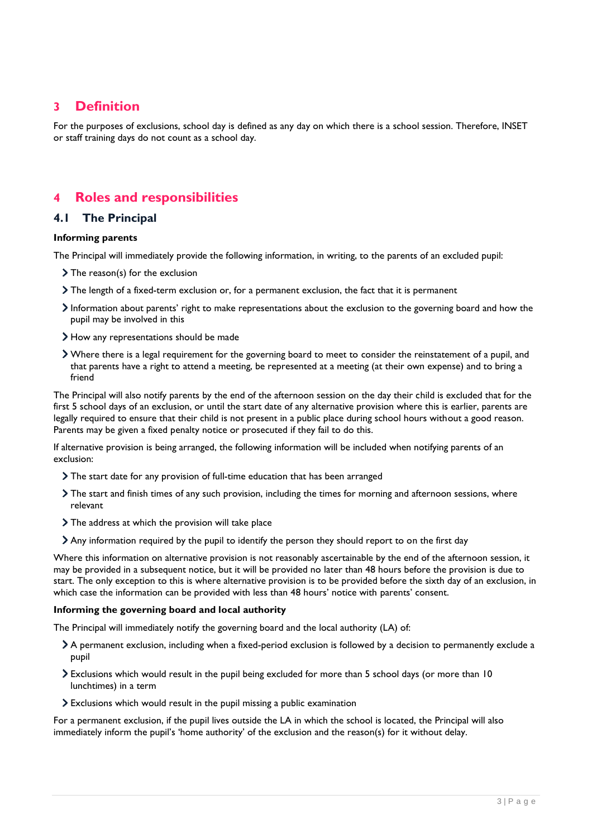## **3 Definition**

For the purposes of exclusions, school day is defined as any day on which there is a school session. Therefore, INSET or staff training days do not count as a school day.

## **4 Roles and responsibilities**

#### **4.1 The Principal**

#### **Informing parents**

The Principal will immediately provide the following information, in writing, to the parents of an excluded pupil:

- > The reason(s) for the exclusion
- The length of a fixed-term exclusion or, for a permanent exclusion, the fact that it is permanent
- Information about parents' right to make representations about the exclusion to the governing board and how the pupil may be involved in this
- How any representations should be made
- Where there is a legal requirement for the governing board to meet to consider the reinstatement of a pupil, and that parents have a right to attend a meeting, be represented at a meeting (at their own expense) and to bring a friend

The Principal will also notify parents by the end of the afternoon session on the day their child is excluded that for the first 5 school days of an exclusion, or until the start date of any alternative provision where this is earlier, parents are legally required to ensure that their child is not present in a public place during school hours without a good reason. Parents may be given a fixed penalty notice or prosecuted if they fail to do this.

If alternative provision is being arranged, the following information will be included when notifying parents of an exclusion:

- The start date for any provision of full-time education that has been arranged
- The start and finish times of any such provision, including the times for morning and afternoon sessions, where relevant
- > The address at which the provision will take place
- Any information required by the pupil to identify the person they should report to on the first day

Where this information on alternative provision is not reasonably ascertainable by the end of the afternoon session, it may be provided in a subsequent notice, but it will be provided no later than 48 hours before the provision is due to start. The only exception to this is where alternative provision is to be provided before the sixth day of an exclusion, in which case the information can be provided with less than 48 hours' notice with parents' consent.

#### **Informing the governing board and local authority**

The Principal will immediately notify the governing board and the local authority (LA) of:

- A permanent exclusion, including when a fixed-period exclusion is followed by a decision to permanently exclude a pupil
- Exclusions which would result in the pupil being excluded for more than 5 school days (or more than 10 lunchtimes) in a term
- Exclusions which would result in the pupil missing a public examination

For a permanent exclusion, if the pupil lives outside the LA in which the school is located, the Principal will also immediately inform the pupil's 'home authority' of the exclusion and the reason(s) for it without delay.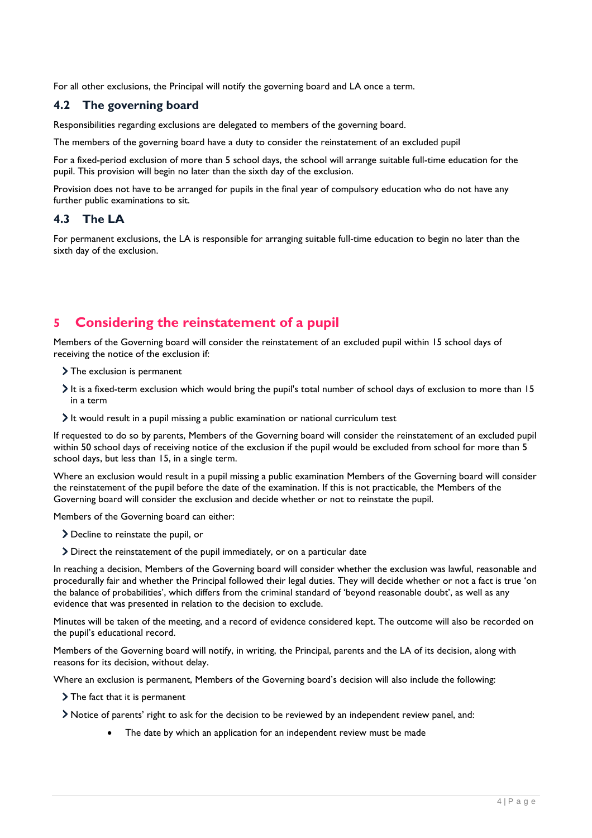For all other exclusions, the Principal will notify the governing board and LA once a term.

### **4.2 The governing board**

Responsibilities regarding exclusions are delegated to members of the governing board.

The members of the governing board have a duty to consider the reinstatement of an excluded pupil

For a fixed-period exclusion of more than 5 school days, the school will arrange suitable full-time education for the pupil. This provision will begin no later than the sixth day of the exclusion.

Provision does not have to be arranged for pupils in the final year of compulsory education who do not have any further public examinations to sit.

#### **4.3 The LA**

For permanent exclusions, the LA is responsible for arranging suitable full-time education to begin no later than the sixth day of the exclusion.

# **5 Considering the reinstatement of a pupil**

Members of the Governing board will consider the reinstatement of an excluded pupil within 15 school days of receiving the notice of the exclusion if:

- > The exclusion is permanent
- It is a fixed-term exclusion which would bring the pupil's total number of school days of exclusion to more than 15 in a term
- It would result in a pupil missing a public examination or national curriculum test

If requested to do so by parents, Members of the Governing board will consider the reinstatement of an excluded pupil within 50 school days of receiving notice of the exclusion if the pupil would be excluded from school for more than 5 school days, but less than 15, in a single term.

Where an exclusion would result in a pupil missing a public examination Members of the Governing board will consider the reinstatement of the pupil before the date of the examination. If this is not practicable, the Members of the Governing board will consider the exclusion and decide whether or not to reinstate the pupil.

Members of the Governing board can either:

- Decline to reinstate the pupil, or
- Direct the reinstatement of the pupil immediately, or on a particular date

In reaching a decision, Members of the Governing board will consider whether the exclusion was lawful, reasonable and procedurally fair and whether the Principal followed their legal duties. They will decide whether or not a fact is true 'on the balance of probabilities', which differs from the criminal standard of 'beyond reasonable doubt', as well as any evidence that was presented in relation to the decision to exclude.

Minutes will be taken of the meeting, and a record of evidence considered kept. The outcome will also be recorded on the pupil's educational record.

Members of the Governing board will notify, in writing, the Principal, parents and the LA of its decision, along with reasons for its decision, without delay.

Where an exclusion is permanent, Members of the Governing board's decision will also include the following:

The fact that it is permanent

Notice of parents' right to ask for the decision to be reviewed by an independent review panel, and:

The date by which an application for an independent review must be made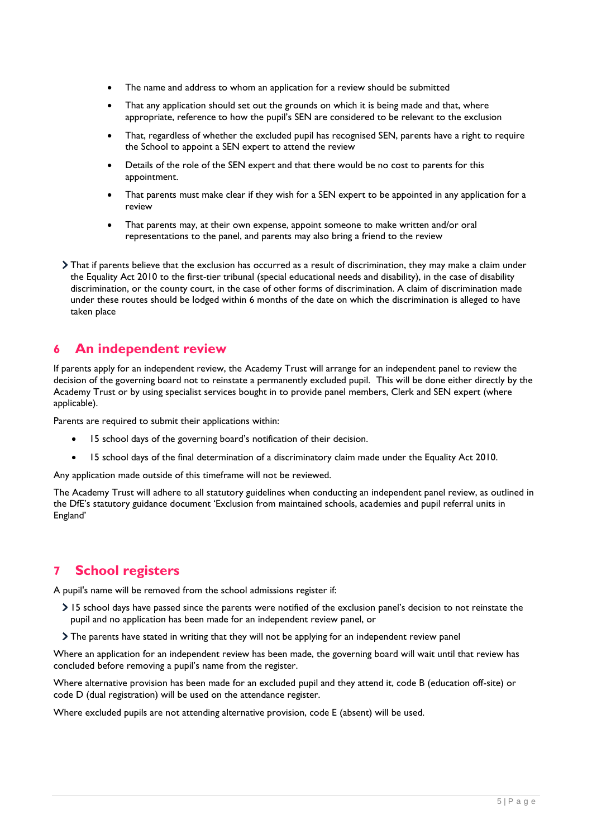- The name and address to whom an application for a review should be submitted
- That any application should set out the grounds on which it is being made and that, where appropriate, reference to how the pupil's SEN are considered to be relevant to the exclusion
- That, regardless of whether the excluded pupil has recognised SEN, parents have a right to require the School to appoint a SEN expert to attend the review
- Details of the role of the SEN expert and that there would be no cost to parents for this appointment.
- That parents must make clear if they wish for a SEN expert to be appointed in any application for a review
- That parents may, at their own expense, appoint someone to make written and/or oral representations to the panel, and parents may also bring a friend to the review
- That if parents believe that the exclusion has occurred as a result of discrimination, they may make a claim under the Equality Act 2010 to the first-tier tribunal (special educational needs and disability), in the case of disability discrimination, or the county court, in the case of other forms of discrimination. A claim of discrimination made under these routes should be lodged within 6 months of the date on which the discrimination is alleged to have taken place

## **6 An independent review**

If parents apply for an independent review, the Academy Trust will arrange for an independent panel to review the decision of the governing board not to reinstate a permanently excluded pupil. This will be done either directly by the Academy Trust or by using specialist services bought in to provide panel members, Clerk and SEN expert (where applicable).

Parents are required to submit their applications within:

- 15 school days of the governing board's notification of their decision.
- 15 school days of the final determination of a discriminatory claim made under the Equality Act 2010.

Any application made outside of this timeframe will not be reviewed.

The Academy Trust will adhere to all statutory guidelines when conducting an independent panel review, as outlined in the DfE's statutory guidance document 'Exclusion from maintained schools, academies and pupil referral units in England'

# **7 School registers**

A pupil's name will be removed from the school admissions register if:

- 15 school days have passed since the parents were notified of the exclusion panel's decision to not reinstate the pupil and no application has been made for an independent review panel, or
- The parents have stated in writing that they will not be applying for an independent review panel

Where an application for an independent review has been made, the governing board will wait until that review has concluded before removing a pupil's name from the register.

Where alternative provision has been made for an excluded pupil and they attend it, code B (education off-site) or code D (dual registration) will be used on the attendance register.

Where excluded pupils are not attending alternative provision, code E (absent) will be used.